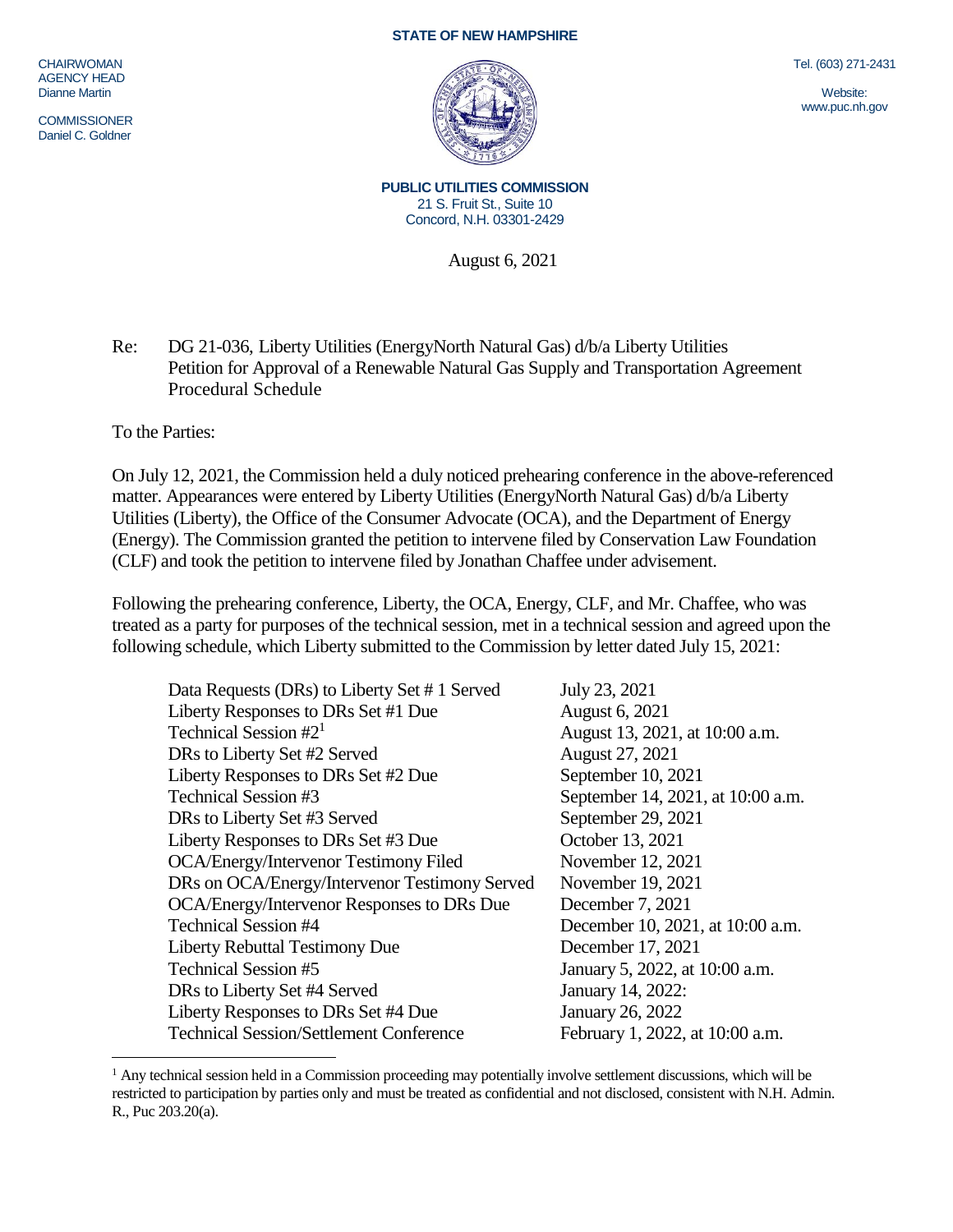## **STATE OF NEW HAMPSHIRE**

CHAIRWOMAN AGENCY HEAD Dianne Martin

**COMMISSIONER** Daniel C. Goldner

**PUBLIC UTILITIES COMMISSION** 21 S. Fruit St., Suite 10 Concord, N.H. 03301-2429

August 6, 2021

Re: DG 21-036, Liberty Utilities (EnergyNorth Natural Gas) d/b/a Liberty Utilities Petition for Approval of a Renewable Natural Gas Supply and Transportation Agreement Procedural Schedule

To the Parties:

 $\overline{a}$ 

On July 12, 2021, the Commission held a duly noticed prehearing conference in the above-referenced matter. Appearances were entered by Liberty Utilities (EnergyNorth Natural Gas) d/b/a Liberty Utilities (Liberty), the Office of the Consumer Advocate (OCA), and the Department of Energy (Energy). The Commission granted the petition to intervene filed by Conservation Law Foundation (CLF) and took the petition to intervene filed by Jonathan Chaffee under advisement.

Following the prehearing conference, Liberty, the OCA, Energy, CLF, and Mr. Chaffee, who was treated as a party for purposes of the technical session, met in a technical session and agreed upon the following schedule, which Liberty submitted to the Commission by letter dated July 15, 2021:

| Data Requests (DRs) to Liberty Set #1 Served   | July 23, 2021                     |
|------------------------------------------------|-----------------------------------|
| Liberty Responses to DRs Set #1 Due            | August 6, 2021                    |
| Technical Session $#21$                        | August 13, 2021, at 10:00 a.m.    |
| DRs to Liberty Set #2 Served                   | August 27, 2021                   |
| Liberty Responses to DRs Set #2 Due            | September 10, 2021                |
| Technical Session #3                           | September 14, 2021, at 10:00 a.m. |
| DRs to Liberty Set #3 Served                   | September 29, 2021                |
| Liberty Responses to DRs Set #3 Due            | October 13, 2021                  |
| <b>OCA/Energy/Intervenor Testimony Filed</b>   | November 12, 2021                 |
| DRs on OCA/Energy/Intervenor Testimony Served  | November 19, 2021                 |
| OCA/Energy/Intervenor Responses to DRs Due     | December 7, 2021                  |
| <b>Technical Session #4</b>                    | December 10, 2021, at 10:00 a.m.  |
| <b>Liberty Rebuttal Testimony Due</b>          | December 17, 2021                 |
| <b>Technical Session #5</b>                    | January 5, 2022, at 10:00 a.m.    |
| DRs to Liberty Set #4 Served                   | January 14, 2022:                 |
| Liberty Responses to DRs Set #4 Due            | January 26, 2022                  |
| <b>Technical Session/Settlement Conference</b> | February 1, 2022, at 10:00 a.m.   |

<sup>&</sup>lt;sup>1</sup> Any technical session held in a Commission proceeding may potentially involve settlement discussions, which will be restricted to participation by parties only and must be treated as confidential and not disclosed, consistent with N.H. Admin. R., Puc 203.20(a).

Tel. (603) 271-2431

Website: www.puc.nh.gov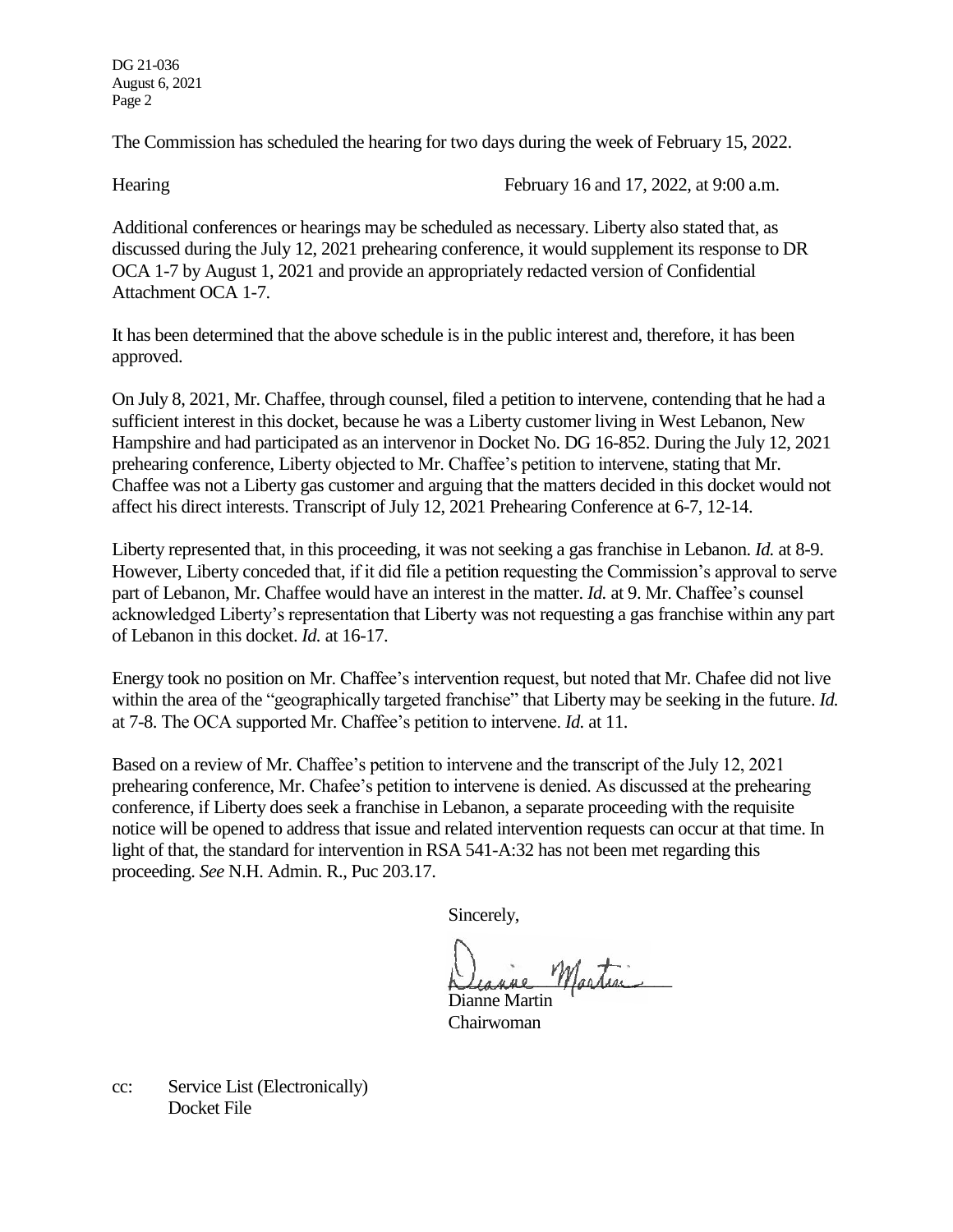DG 21-036 August 6, 2021 Page 2

The Commission has scheduled the hearing for two days during the week of February 15, 2022.

Hearing February 16 and 17, 2022, at 9:00 a.m.

Additional conferences or hearings may be scheduled as necessary. Liberty also stated that, as discussed during the July 12, 2021 prehearing conference, it would supplement its response to DR OCA 1-7 by August 1, 2021 and provide an appropriately redacted version of Confidential Attachment OCA 1-7.

It has been determined that the above schedule is in the public interest and, therefore, it has been approved.

On July 8, 2021, Mr. Chaffee, through counsel, filed a petition to intervene, contending that he had a sufficient interest in this docket, because he was a Liberty customer living in West Lebanon, New Hampshire and had participated as an intervenor in Docket No. DG 16-852. During the July 12, 2021 prehearing conference, Liberty objected to Mr. Chaffee's petition to intervene, stating that Mr. Chaffee was not a Liberty gas customer and arguing that the matters decided in this docket would not affect his direct interests. Transcript of July 12, 2021 Prehearing Conference at 6-7, 12-14.

Liberty represented that, in this proceeding, it was not seeking a gas franchise in Lebanon. *Id.* at 8-9. However, Liberty conceded that, if it did file a petition requesting the Commission's approval to serve part of Lebanon, Mr. Chaffee would have an interest in the matter. *Id.* at 9. Mr. Chaffee's counsel acknowledged Liberty's representation that Liberty was not requesting a gas franchise within any part of Lebanon in this docket. *Id.* at 16-17.

Energy took no position on Mr. Chaffee's intervention request, but noted that Mr. Chafee did not live within the area of the "geographically targeted franchise" that Liberty may be seeking in the future. *Id.* at 7-8. The OCA supported Mr. Chaffee's petition to intervene. *Id.* at 11.

Based on a review of Mr. Chaffee's petition to intervene and the transcript of the July 12, 2021 prehearing conference, Mr. Chafee's petition to intervene is denied. As discussed at the prehearing conference, if Liberty does seek a franchise in Lebanon, a separate proceeding with the requisite notice will be opened to address that issue and related intervention requests can occur at that time. In light of that, the standard for intervention in RSA 541-A:32 has not been met regarding this proceeding. *See* N.H. Admin. R., Puc 203.17.

Sincerely,

martin

Dianne Martin Chairwoman

cc: Service List (Electronically) Docket File